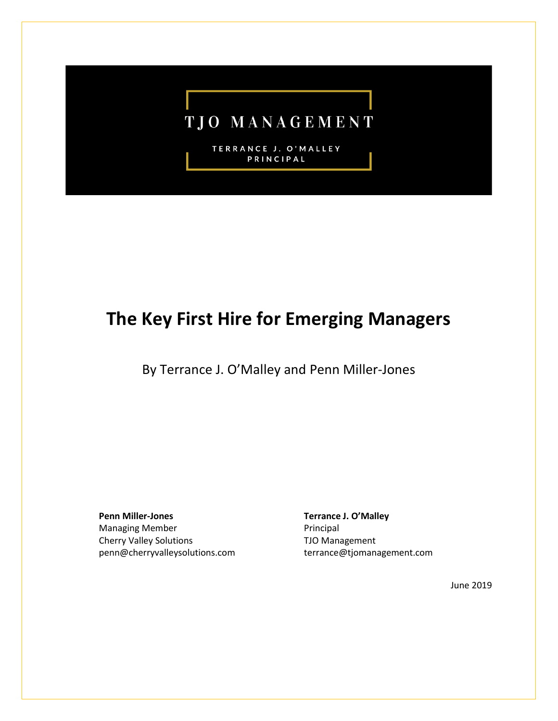

TERRANCE J. O'MALLEY PRINCIPAL

# **The Key First Hire for Emerging Managers**

By Terrance J. O'Malley and Penn Miller-Jones

**Penn Miller-Jones** Managing Member Cherry Valley Solutions penn@cherryvalleysolutions.com **Terrance J. O'Malley** Principal TJO Management terrance@tjomanagement.com

June 2019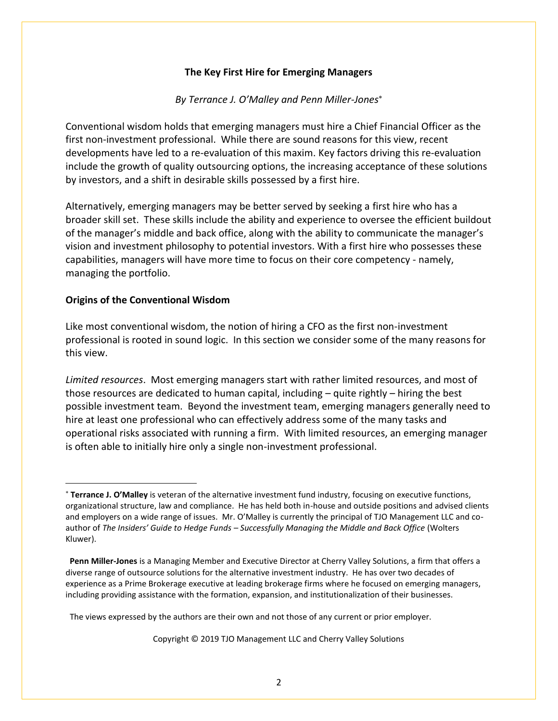#### **The Key First Hire for Emerging Managers**

#### *By Terrance J. O'Malley and Penn Miller-Jones*

Conventional wisdom holds that emerging managers must hire a Chief Financial Officer as the first non-investment professional. While there are sound reasons for this view, recent developments have led to a re-evaluation of this maxim. Key factors driving this re-evaluation include the growth of quality outsourcing options, the increasing acceptance of these solutions by investors, and a shift in desirable skills possessed by a first hire.

Alternatively, emerging managers may be better served by seeking a first hire who has a broader skill set. These skills include the ability and experience to oversee the efficient buildout of the manager's middle and back office, along with the ability to communicate the manager's vision and investment philosophy to potential investors. With a first hire who possesses these capabilities, managers will have more time to focus on their core competency - namely, managing the portfolio.

## **Origins of the Conventional Wisdom**

Like most conventional wisdom, the notion of hiring a CFO as the first non-investment professional is rooted in sound logic. In this section we consider some of the many reasons for this view.

*Limited resources*. Most emerging managers start with rather limited resources, and most of those resources are dedicated to human capital, including – quite rightly – hiring the best possible investment team. Beyond the investment team, emerging managers generally need to hire at least one professional who can effectively address some of the many tasks and operational risks associated with running a firm. With limited resources, an emerging manager is often able to initially hire only a single non-investment professional.

Copyright © 2019 TJO Management LLC and Cherry Valley Solutions

**Terrance J. O'Malley** is veteran of the alternative investment fund industry, focusing on executive functions, organizational structure, law and compliance. He has held both in-house and outside positions and advised clients and employers on a wide range of issues. Mr. O'Malley is currently the principal of TJO Management LLC and coauthor of *The Insiders' Guide to Hedge Funds – Successfully Managing the Middle and Back Office* (Wolters Kluwer).

**Penn Miller-Jones** is a Managing Member and Executive Director at Cherry Valley Solutions, a firm that offers a diverse range of outsource solutions for the alternative investment industry. He has over two decades of experience as a Prime Brokerage executive at leading brokerage firms where he focused on emerging managers, including providing assistance with the formation, expansion, and institutionalization of their businesses.

The views expressed by the authors are their own and not those of any current or prior employer.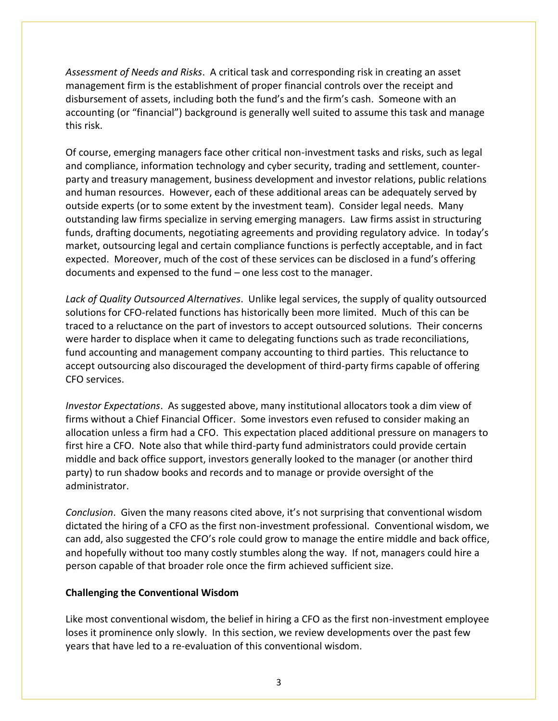*Assessment of Needs and Risks*. A critical task and corresponding risk in creating an asset management firm is the establishment of proper financial controls over the receipt and disbursement of assets, including both the fund's and the firm's cash. Someone with an accounting (or "financial") background is generally well suited to assume this task and manage this risk.

Of course, emerging managers face other critical non-investment tasks and risks, such as legal and compliance, information technology and cyber security, trading and settlement, counterparty and treasury management, business development and investor relations, public relations and human resources. However, each of these additional areas can be adequately served by outside experts (or to some extent by the investment team). Consider legal needs. Many outstanding law firms specialize in serving emerging managers. Law firms assist in structuring funds, drafting documents, negotiating agreements and providing regulatory advice. In today's market, outsourcing legal and certain compliance functions is perfectly acceptable, and in fact expected. Moreover, much of the cost of these services can be disclosed in a fund's offering documents and expensed to the fund – one less cost to the manager.

*Lack of Quality Outsourced Alternatives*. Unlike legal services, the supply of quality outsourced solutions for CFO-related functions has historically been more limited. Much of this can be traced to a reluctance on the part of investors to accept outsourced solutions. Their concerns were harder to displace when it came to delegating functions such as trade reconciliations, fund accounting and management company accounting to third parties. This reluctance to accept outsourcing also discouraged the development of third-party firms capable of offering CFO services.

*Investor Expectations*. As suggested above, many institutional allocators took a dim view of firms without a Chief Financial Officer. Some investors even refused to consider making an allocation unless a firm had a CFO. This expectation placed additional pressure on managers to first hire a CFO. Note also that while third-party fund administrators could provide certain middle and back office support, investors generally looked to the manager (or another third party) to run shadow books and records and to manage or provide oversight of the administrator.

*Conclusion*. Given the many reasons cited above, it's not surprising that conventional wisdom dictated the hiring of a CFO as the first non-investment professional. Conventional wisdom, we can add, also suggested the CFO's role could grow to manage the entire middle and back office, and hopefully without too many costly stumbles along the way. If not, managers could hire a person capable of that broader role once the firm achieved sufficient size.

### **Challenging the Conventional Wisdom**

Like most conventional wisdom, the belief in hiring a CFO as the first non-investment employee loses it prominence only slowly. In this section, we review developments over the past few years that have led to a re-evaluation of this conventional wisdom.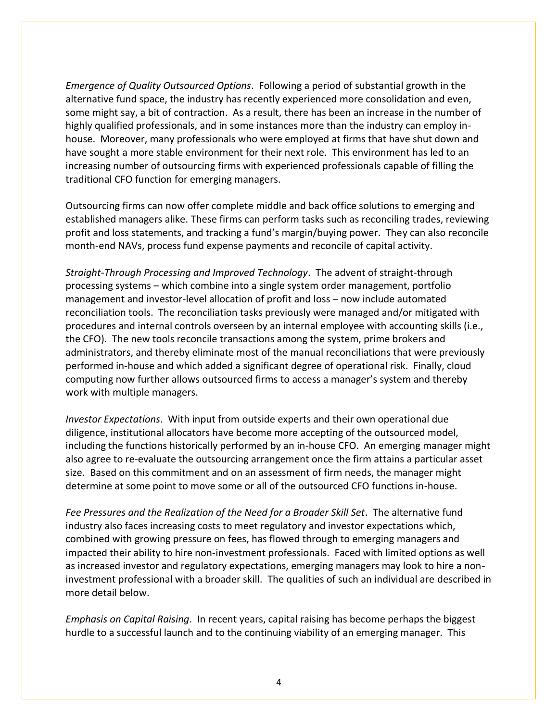*Emergence of Quality Outsourced Options*. Following a period of substantial growth in the alternative fund space, the industry has recently experienced more consolidation and even, some might say, a bit of contraction. As a result, there has been an increase in the number of highly qualified professionals, and in some instances more than the industry can employ inhouse. Moreover, many professionals who were employed at firms that have shut down and have sought a more stable environment for their next role. This environment has led to an increasing number of outsourcing firms with experienced professionals capable of filling the traditional CFO function for emerging managers.

Outsourcing firms can now offer complete middle and back office solutions to emerging and established managers alike. These firms can perform tasks such as reconciling trades, reviewing profit and loss statements, and tracking a fund's margin/buying power. They can also reconcile month-end NAVs, process fund expense payments and reconcile of capital activity.

*Straight-Through Processing and Improved Technology*. The advent of straight-through processing systems – which combine into a single system order management, portfolio management and investor-level allocation of profit and loss – now include automated reconciliation tools. The reconciliation tasks previously were managed and/or mitigated with procedures and internal controls overseen by an internal employee with accounting skills (i.e., the CFO). The new tools reconcile transactions among the system, prime brokers and administrators, and thereby eliminate most of the manual reconciliations that were previously performed in-house and which added a significant degree of operational risk. Finally, cloud computing now further allows outsourced firms to access a manager's system and thereby work with multiple managers.

*Investor Expectations*. With input from outside experts and their own operational due diligence, institutional allocators have become more accepting of the outsourced model, including the functions historically performed by an in-house CFO. An emerging manager might also agree to re-evaluate the outsourcing arrangement once the firm attains a particular asset size. Based on this commitment and on an assessment of firm needs, the manager might determine at some point to move some or all of the outsourced CFO functions in-house.

*Fee Pressures and the Realization of the Need for a Broader Skill Set*. The alternative fund industry also faces increasing costs to meet regulatory and investor expectations which, combined with growing pressure on fees, has flowed through to emerging managers and impacted their ability to hire non-investment professionals. Faced with limited options as well as increased investor and regulatory expectations, emerging managers may look to hire a noninvestment professional with a broader skill. The qualities of such an individual are described in more detail below.

*Emphasis on Capital Raising*. In recent years, capital raising has become perhaps the biggest hurdle to a successful launch and to the continuing viability of an emerging manager. This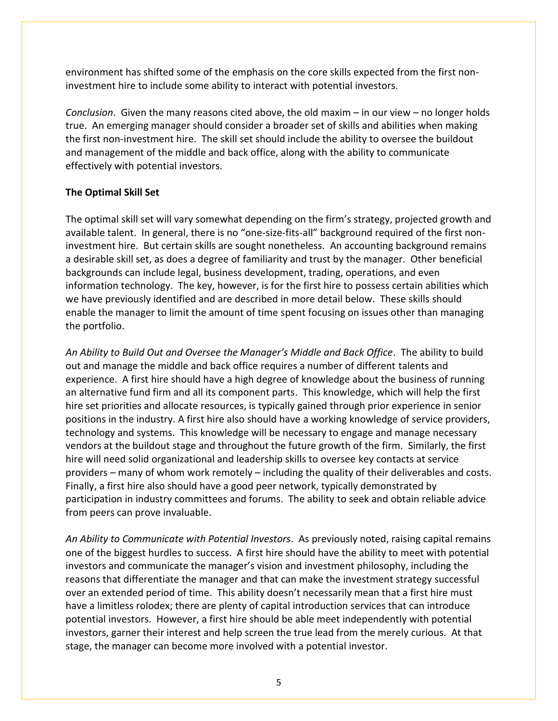environment has shifted some of the emphasis on the core skills expected from the first noninvestment hire to include some ability to interact with potential investors.

*Conclusion*. Given the many reasons cited above, the old maxim – in our view – no longer holds true. An emerging manager should consider a broader set of skills and abilities when making the first non-investment hire. The skill set should include the ability to oversee the buildout and management of the middle and back office, along with the ability to communicate effectively with potential investors.

## **The Optimal Skill Set**

The optimal skill set will vary somewhat depending on the firm's strategy, projected growth and available talent. In general, there is no "one-size-fits-all" background required of the first noninvestment hire. But certain skills are sought nonetheless. An accounting background remains a desirable skill set, as does a degree of familiarity and trust by the manager. Other beneficial backgrounds can include legal, business development, trading, operations, and even information technology. The key, however, is for the first hire to possess certain abilities which we have previously identified and are described in more detail below. These skills should enable the manager to limit the amount of time spent focusing on issues other than managing the portfolio.

*An Ability to Build Out and Oversee the Manager's Middle and Back Office*. The ability to build out and manage the middle and back office requires a number of different talents and experience. A first hire should have a high degree of knowledge about the business of running an alternative fund firm and all its component parts. This knowledge, which will help the first hire set priorities and allocate resources, is typically gained through prior experience in senior positions in the industry. A first hire also should have a working knowledge of service providers, technology and systems. This knowledge will be necessary to engage and manage necessary vendors at the buildout stage and throughout the future growth of the firm. Similarly, the first hire will need solid organizational and leadership skills to oversee key contacts at service providers – many of whom work remotely – including the quality of their deliverables and costs. Finally, a first hire also should have a good peer network, typically demonstrated by participation in industry committees and forums. The ability to seek and obtain reliable advice from peers can prove invaluable.

*An Ability to Communicate with Potential Investors*. As previously noted, raising capital remains one of the biggest hurdles to success. A first hire should have the ability to meet with potential investors and communicate the manager's vision and investment philosophy, including the reasons that differentiate the manager and that can make the investment strategy successful over an extended period of time. This ability doesn't necessarily mean that a first hire must have a limitless rolodex; there are plenty of capital introduction services that can introduce potential investors. However, a first hire should be able meet independently with potential investors, garner their interest and help screen the true lead from the merely curious. At that stage, the manager can become more involved with a potential investor.